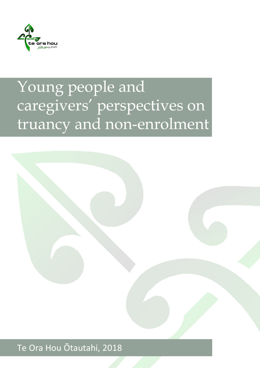

# Young people and caregivers' perspectives on truancy and non-enrolment



Te Ora Hou Ōtautahi, 2018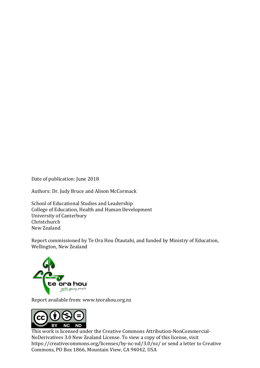Date of publication: June 2018

Authors: Dr. Judy Bruce and Alison McCormack

School of Educational Studies and Leadership College of Education, Health and Human Development University of Canterbury Christchurch New Zealand

Report commissioned by Te Ora Hou Ōtautahi, and funded by Ministry of Education, Wellington, New Zealand



Report available from: www.teorahou.org.nz



This work is licensed under the Creative Commons Attribution-NonCommercial-NoDerivatives 3.0 New Zealand License. To view a copy of this license, visit https://creativecommons.org/licenses/by-nc-nd/3.0/nz/ or send a letter to Creative Commons, PO Box 1866, Mountain View, CA 94042, USA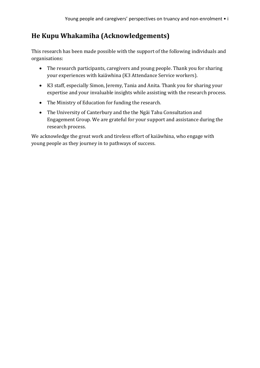## **He Kupu Whakamiha (Acknowledgements)**

This research has been made possible with the support of the following individuals and organisations:

- The research participants, caregivers and young people. Thank you for sharing your experiences with kaiāwhina (K3 Attendance Service workers).
- K3 staff, especially Simon, Jeremy, Tania and Anita. Thank you for sharing your expertise and your invaluable insights while assisting with the research process.
- The Ministry of Education for funding the research.
- The University of Canterbury and the the Ngāi Tahu Consultation and Engagement Group. We are grateful for your support and assistance during the research process.

We acknowledge the great work and tireless effort of kaiāwhina, who engage with young people as they journey in to pathways of success.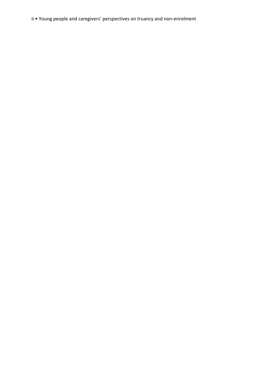ii • Young people and caregivers' perspectives on truancy and non-enrolment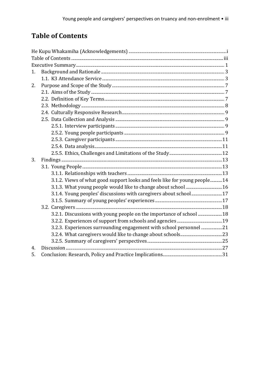# **Table of Contents**

| 1. |                                                                           |  |
|----|---------------------------------------------------------------------------|--|
|    |                                                                           |  |
| 2. |                                                                           |  |
|    |                                                                           |  |
|    |                                                                           |  |
|    |                                                                           |  |
|    |                                                                           |  |
|    |                                                                           |  |
|    |                                                                           |  |
|    |                                                                           |  |
|    |                                                                           |  |
|    |                                                                           |  |
|    |                                                                           |  |
| 3. |                                                                           |  |
|    |                                                                           |  |
|    |                                                                           |  |
|    | 3.1.2. Views of what good support looks and feels like for young people14 |  |
|    | 3.1.3. What young people would like to change about school  16            |  |
|    | 3.1.4. Young peoples' discussions with caregivers about school 17         |  |
|    |                                                                           |  |
|    |                                                                           |  |
|    | 3.2.1. Discussions with young people on the importance of school  18      |  |
|    |                                                                           |  |
|    | 3.2.3. Experiences surrounding engagement with school personnel 21        |  |
|    |                                                                           |  |
|    |                                                                           |  |
| 4. |                                                                           |  |
| 5. |                                                                           |  |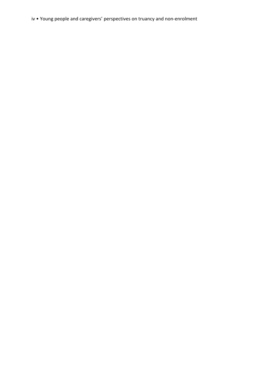iv • Young people and caregivers' perspectives on truancy and non-enrolment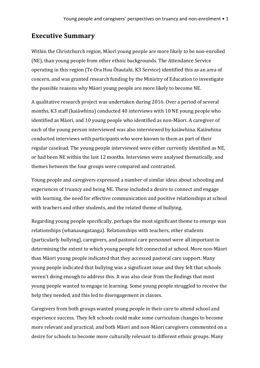## **Executive Summary**

Within the Christchurch region, Māori young people are more likely to be non-enrolled (NE), than young people from other ethnic backgrounds. The Attendance Service operating in this region (Te Ora Hou Ōtautahi, K3 Service) identified this as an area of concern, and was granted research funding by the Ministry of Education to investigate the possible reasons why Māori young people are more likely to become NE.

A qualitative research project was undertaken during 2016. Over a period of several months, K3 staff (kaiāwhina) conducted 40 interviews with 10 NE young people who identified as Māori, and 10 young people who identified as non-Māori. A caregiver of each of the young person interviewed was also interviewed by kaiāwhina. Kaiāwhina conducted interviews with participants who were known to them as part of their regular caseload. The young people interviewed were either currently identified as NE, or had been NE within the last 12 months. Interviews were analysed thematically, and themes between the four groups were compared and contrasted.

Young people and caregivers expressed a number of similar ideas about schooling and experiences of truancy and being NE. These included a desire to connect and engage with learning, the need for effective communication and positive relationships at school with teachers and other students, and the related theme of bullying.

Regarding young people specifically, perhaps the most significant theme to emerge was relationships (whanaungatanga). Relationships with teachers, other students (particularly bullying), caregivers, and pastoral care personnel were all important in determining the extent to which young people felt connected at school. More non-Māori than Māori young people indicated that they accessed pastoral care support. Many young people indicated that bullying was a significant issue and they felt that schools weren't doing enough to address this. It was also clear from the findings that most young people wanted to engage in learning. Some young people struggled to receive the help they needed, and this led to disengagement in classes.

Caregivers from both groups wanted young people in their care to attend school and experience success. They felt schools could make some curriculum changes to become more relevant and practical; and both Māori and non-Māori caregivers commented on a desire for schools to become more culturally relevant to different ethnic groups. Many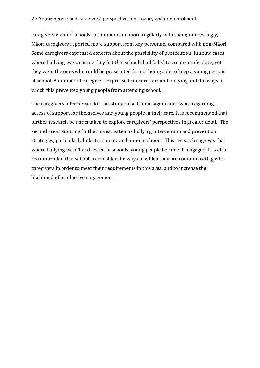caregivers wanted schools to communicate more regularly with them; interestingly, Māori caregivers reported more support from key personnel compared with non-Māori. Some caregivers expressed concern about the possibility of prosecution. In some cases where bullying was an issue they felt that schools had failed to create a safe place, yet they were the ones who could be prosecuted for not being able to keep a young person at school. A number of caregivers expressed concerns around bullying and the ways in which this prevented young people from attending school.

The caregivers interviewed for this study raised some significant issues regarding access of support for themselves and young people in their care. It is recommended that further research be undertaken to explore caregivers' perspectives in greater detail. The second area requiring further investigation is bullying intervention and prevention strategies, particularly links to truancy and non-enrolment. This research suggests that where bullying wasn't addressed in schools, young people became disengaged. It is also recommended that schools reconsider the ways in which they are communicating with caregivers in order to meet their requirements in this area, and to increase the likelihood of productive engagement.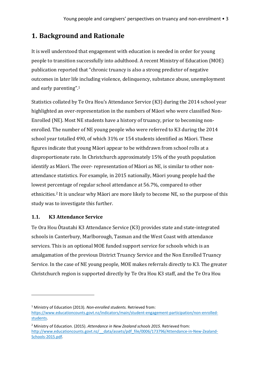## **1. Background and Rationale**

It is well understood that engagement with education is needed in order for young people to transition successfully into adulthood. A recent Ministry of Education (MOE) publication reported that "chronic truancy is also a strong predictor of negative outcomes in later life including violence, delinquency, substance abuse, unemployment and early parenting".<sup>1</sup>

Statistics collated by Te Ora Hou's Attendance Service (K3) during the 2014 school year highlighted an over-representation in the numbers of Māori who were classified Non-Enrolled (NE). Most NE students have a history of truancy, prior to becoming nonenrolled. The number of NE young people who were referred to K3 during the 2014 school year totalled 490, of which 31% or 154 students identified as Māori. These figures indicate that young Māori appear to be withdrawn from school rolls at a disproportionate rate. In Christchurch approximately 15% of the youth population identify as Māori. The over- representation of Māori as NE, is similar to other nonattendance statistics. For example, in 2015 nationally, Māori young people had the lowest percentage of regular school attendance at 56.7%, compared to other ethnicities.2 It is unclear why Māori are more likely to become NE, so the purpose of this study was to investigate this further.

## **1.1. K3 Attendance Service**

 $\overline{a}$ 

Te Ora Hou Ōtautahi K3 Attendance Service (K3) provides state and state-integrated schools in Canterbury, Marlborough, Tasman and the West Coast with attendance services. This is an optional MOE funded support service for schools which is an amalgamation of the previous District Truancy Service and the Non Enrolled Truancy Service. In the case of NE young people, MOE makes referrals directly to K3. The greater Christchurch region is supported directly by Te Ora Hou K3 staff, and the Te Ora Hou

<sup>1</sup> Ministry of Education (2013). *Non-enrolled students.* Retrieved from:

https://www.educationcounts.govt.nz/indicators/main/student-engagement-participation/non-enrolledstudents.

<sup>2</sup> Ministry of Education. (2015). *Attendance in New Zealand schools 2015*. Retrieved from: http://www.educationcounts.govt.nz/ data/assets/pdf\_file/0006/173796/Attendance-in-New-Zealand-Schools-2015.pdf.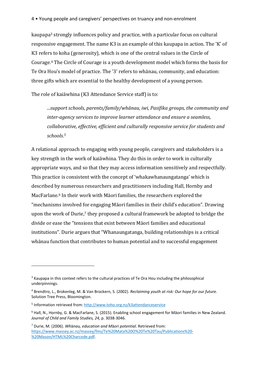kaupapa3 strongly influences policy and practice, with a particular focus on cultural responsive engagement. The name K3 is an example of this kaupapa in action. The 'K' of K3 refers to koha (generosity), which is one of the central values in the Circle of Courage.4 The Circle of Courage is a youth development model which forms the basis for Te Ora Hou's model of practice. The '3' refers to whānau, community, and education: three gifts which are essential to the healthy development of a young person.

The role of kaiāwhina (K3 Attendance Service staff) is to:

*...support schools, parents/family/whānau, iwi, Pasifika groups, the community and inter-agency services to improve learner attendance and ensure a seamless, collaborative, effective, efficient and culturally responsive service for students and schools.<sup>5</sup>* 

A relational approach to engaging with young people, caregivers and stakeholders is a key strength in the work of kaiāwhina. They do this in order to work in culturally appropriate ways, and so that they may access information sensitively and respectfully. This practice is consistent with the concept of 'whakawhanaungatanga' which is described by numerous researchers and practitioners including Hall, Hornby and MacFarlane.6 In their work with Māori families, the researchers explored the "mechanisms involved for engaging Māori families in their child's education". Drawing upon the work of Durie,<sup>7</sup> they proposed a cultural framework be adopted to bridge the divide or ease the "tensions that exist between Māori families and educational institutions". Durie argues that "Whanaungatanga, building relationships is a critical whānau function that contributes to human potential and to successful engagement

<sup>5</sup> Information retrieved from: http://www.toho.org.nz/k3attendanceservice

 $\overline{a}$ 

<sup>&</sup>lt;sup>3</sup> Kaupapa in this context refers to the cultural practices of Te Ora Hou including the philosophical underpinnings.

<sup>4</sup> Brendtro, L., Brokenleg, M. & Van Brockern, S. (2002). *Reclaiming youth at risk: Our hope for our future.*  Solution Tree Press, Bloomington.

<sup>&</sup>lt;sup>6</sup> Hall, N., Hornby, G. & MacFarlane, S. (2015). Enabling school engagement for Māori families in New Zealand. *Journal of Child and Family Studies, 24,* p. 3038-3046.

<sup>7</sup> Durie, M. (2006). *Wh*ā*nau, education and M*ā*ori potential*. Retrieved from: https://www.massey.ac.nz/massey/fms/Te%20Mata%20O%20Te%20Tau/Publications%20- %20Mason/HTML%20Charcode.pdf.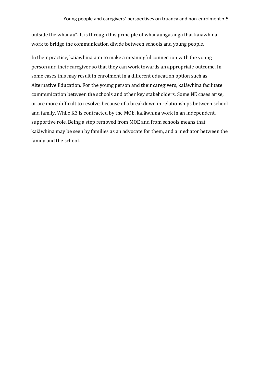outside the whānau". It is through this principle of whanaungatanga that kaiāwhina work to bridge the communication divide between schools and young people.

In their practice, kaiāwhina aim to make a meaningful connection with the young person and their caregiver so that they can work towards an appropriate outcome. In some cases this may result in enrolment in a different education option such as Alternative Education. For the young person and their caregivers, kaiāwhina facilitate communication between the schools and other key stakeholders. Some NE cases arise, or are more difficult to resolve, because of a breakdown in relationships between school and family. While K3 is contracted by the MOE, kaiāwhina work in an independent, supportive role. Being a step removed from MOE and from schools means that kaiāwhina may be seen by families as an advocate for them, and a mediator between the family and the school.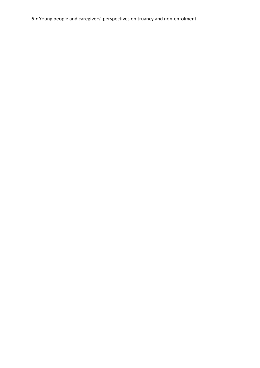6 • Young people and caregivers' perspectives on truancy and non-enrolment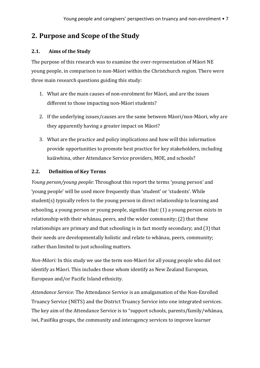# **2. Purpose and Scope of the Study**

## **2.1. Aims of the Study**

The purpose of this research was to examine the over-representation of Māori NE young people, in comparison to non-Māori within the Christchurch region. There were three main research questions guiding this study:

- 1. What are the main causes of non-enrolment for Māori, and are the issues different to those impacting non-Māori students?
- 2. If the underlying issues/causes are the same between Māori/non-Māori, why are they apparently having a greater impact on Māori?
- 3. What are the practice and policy implications and how will this information provide opportunities to promote best practice for key stakeholders, including kaiāwhina, other Attendance Service providers, MOE, and schools?

## **2.2. Definition of Key Terms**

*Young person/young people:* Throughout this report the terms 'young person' and 'young people' will be used more frequently than 'student' or 'students'. While student(s) typically refers to the young person in direct relationship to learning and schooling, a young person or young people, signifies that: (1) a young person exists in relationship with their whānau, peers, and the wider community; (2) that these relationships are primary and that schooling is in fact mostly secondary; and (3) that their needs are developmentally holistic and relate to whānau, peers, community; rather than limited to just schooling matters.

*Non-Māori:* In this study we use the term non-Māori for all young people who did not identify as Māori. This includes those whom identify as New Zealand European, European and/or Pacific Island ethnicity.

*Attendance Service:* The Attendance Service is an amalgamation of the Non-Enrolled Truancy Service (NETS) and the District Truancy Service into one integrated services. The key aim of the Attendance Service is to "support schools, parents/family/whānau, iwi, Pasifika groups, the community and interagency services to improve learner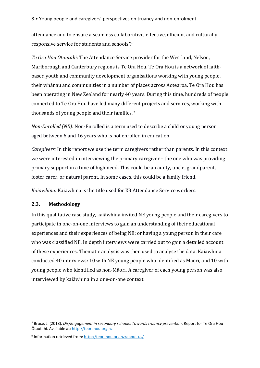attendance and to ensure a seamless collaborative, effective, efficient and culturally responsive service for students and schools*".<sup>8</sup>*

*Te Ora Hou Ōtautahi:* The Attendance Service provider for the Westland, Nelson, Marlborough and Canterbury regions is Te Ora Hou. Te Ora Hou is a network of faithbased youth and community development organisations working with young people, their whānau and communities in a number of places across Aotearoa. Te Ora Hou has been operating in New Zealand for nearly 40 years. During this time, hundreds of people connected to Te Ora Hou have led many different projects and services, working with thousands of young people and their families.<sup>9</sup>

*Non-Enrolled (NE)*: Non-Enrolled is a term used to describe a child or young person aged between 6 and 16 years who is not enrolled in education.

*Caregivers:* In this report we use the term caregivers rather than parents. In this context we were interested in interviewing the primary caregiver – the one who was providing primary support in a time of high need. This could be an aunty, uncle, grandparent, foster carer, or natural parent. In some cases, this could be a family friend.

*Kaiāwhina:* Kaiāwhina is the title used for K3 Attendance Service workers.

#### **2.3. Methodology**

 $\overline{a}$ 

In this qualitative case study, kaiāwhina invited NE young people and their caregivers to participate in one-on-one interviews to gain an understanding of their educational experiences and their experiences of being NE; or having a young person in their care who was classified NE. In depth interviews were carried out to gain a detailed account of these experiences. Thematic analysis was then used to analyse the data. Kaiāwhina conducted 40 interviews: 10 with NE young people who identified as Māori, and 10 with young people who identified as non-Māori. A caregiver of each young person was also interviewed by kaiāwhina in a one-on-one context.

<sup>8</sup> Bruce, J. (2018). *Dis/Engagement in secondary schools: Towards truancy prevention*. Report for Te Ora Hou Ōtautahi. Available at: http://teorahou.org.nz

<sup>&</sup>lt;sup>9</sup> Information retrieved from: http://teorahou.org.nz/about-us/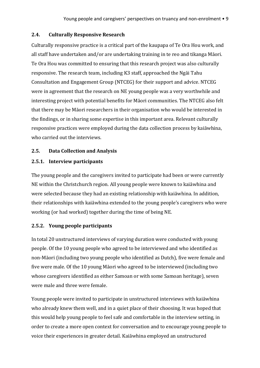## **2.4. Culturally Responsive Research**

Culturally responsive practice is a critical part of the kaupapa of Te Ora Hou work, and all staff have undertaken and/or are undertaking training in te reo and tikanga Māori. Te Ora Hou was committed to ensuring that this research project was also culturally responsive. The research team, including K3 staff, approached the Ngāi Tahu Consultation and Engagement Group (NTCEG) for their support and advice. NTCEG were in agreement that the research on NE young people was a very worthwhile and interesting project with potential benefits for Māori communities. The NTCEG also felt that there may be Māori researchers in their organisation who would be interested in the findings, or in sharing some expertise in this important area. Relevant culturally responsive practices were employed during the data collection process by kaiāwhina, who carried out the interviews.

## **2.5. Data Collection and Analysis**

## **2.5.1. Interview participants**

The young people and the caregivers invited to participate had been or were currently NE within the Christchurch region. All young people were known to kaiāwhina and were selected because they had an existing relationship with kaiāwhina. In addition, their relationships with kaiāwhina extended to the young people's caregivers who were working (or had worked) together during the time of being NE.

## **2.5.2. Young people participants**

In total 20 unstructured interviews of varying duration were conducted with young people. Of the 10 young people who agreed to be interviewed and who identified as non-Māori (including two young people who identified as Dutch), five were female and five were male. Of the 10 young Māori who agreed to be interviewed (including two whose caregivers identified as either Samoan or with some Samoan heritage), seven were male and three were female.

Young people were invited to participate in unstructured interviews with kaiāwhina who already knew them well, and in a quiet place of their choosing. It was hoped that this would help young people to feel safe and comfortable in the interview setting, in order to create a more open context for conversation and to encourage young people to voice their experiences in greater detail. Kaiāwhina employed an unstructured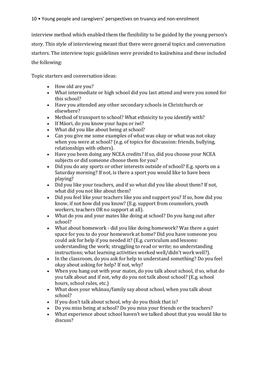interview method which enabled them the flexibility to be guided by the young person's story. This style of interviewing meant that there were general topics and conversation starters. The interview topic guidelines were provided to kaiāwhina and these included the following:

Topic starters and conversation ideas:

- How old are you?
- What intermediate or high school did you last attend and were you zoned for this school?
- Have you attended any other secondary schools in Christchurch or elsewhere?
- Method of transport to school? What ethnicity to you identify with?
- 
- If Māori, do you know your hapu or iwi?<br>• What did you like about heing at school? What did you like about being at school?
- Can you give me some examples of what was okay or what was not okay when you were at school? (e.g. of topics for discussion: friends, bullying, relationships with others).
- Have you been doing any NCEA credits? If so, did you choose your NCEA subjects or did someone choose them for you?
- Did you do any sports or other interests outside of school? E.g. sports on a Saturday morning? If not, is there a sport you would like to have been playing?
- Did you like your teachers, and if so what did you like about them? If not, what did you not like about them?
- Did you feel like your teachers like you and support you? If so, how did you know, if not how did you know? (E.g. support from counselors, youth workers, teachers OR no support at all).
- What do you and your mates like doing at school? Do you hang out after school?
- What about homework did you like doing homework? Was there a quiet space for you to do your homework at home? Did you have someone you could ask for help if you needed it? (E.g. curriculum and lessons: understanding the work; struggling to read or write; no understanding instructions; what learning activities worked well/didn't work well?).
- In the classroom, do you ask for help to understand something? Do you feel okay about asking for help? If not, why?
- When you hang out with your mates, do you talk about school, if so, what do you talk about and if not, why do you not talk about school? (E.g. school hours, school rules, etc.)
- What does your whānau/family say about school, when you talk about school?
- If you don't talk about school, why do you think that is?
- Do you miss being at school? Do you miss your friends or the teachers?
- What experience about school haven't we talked about that you would like to discuss?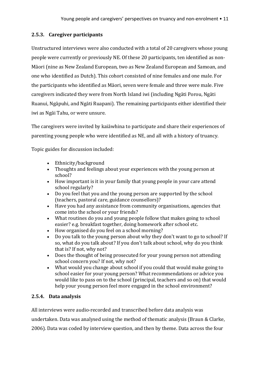## **2.5.3. Caregiver participants**

Unstructured interviews were also conducted with a total of 20 caregivers whose young people were currently or previously NE. Of these 20 participants, ten identified as non-Māori (nine as New Zealand European, two as New Zealand European and Samoan, and one who identified as Dutch). This cohort consisted of nine females and one male. For the participants who identified as Māori, seven were female and three were male. Five caregivers indicated they were from North Island iwi (including Ngāti Porou, Ngāti Ruanui, Ngāpuhi, and Ngāti Ruapani). The remaining participants either identified their iwi as Ngāi Tahu, or were unsure.

The caregivers were invited by kaiāwhina to participate and share their experiences of parenting young people who were identified as NE, and all with a history of truancy.

Topic guides for discussion included:

- Ethnicity/background
- Thoughts and feelings about your experiences with the young person at school?
- How important is it in your family that young people in your care attend school regularly?
- Do you feel that you and the young person are supported by the school (teachers, pastoral care, guidance counsellors)?
- Have you had any assistance from community organisations, agencies that come into the school or your friends?
- What routines do you and young people follow that makes going to school easier? e.g. breakfast together, doing homework after school etc.
- How organised do you feel on a school morning?
- Do you talk to the young person about why they don't want to go to school? If so, what do you talk about? If you don't talk about school, why do you think that is? If not, why not?
- Does the thought of being prosecuted for your young person not attending school concern you? If not, why not?
- What would you change about school if you could that would make going to school easier for your young person? What recommendations or advice you would like to pass on to the school (principal, teachers and so on) that would help your young person feel more engaged in the school environment?

## **2.5.4. Data analysis**

All interviews were audio-recorded and transcribed before data analysis was undertaken. Data was analysed using the method of thematic analysis (Braun & Clarke, 2006). Data was coded by interview question, and then by theme. Data across the four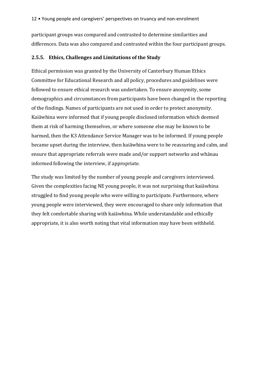participant groups was compared and contrasted to determine similarities and differences. Data was also compared and contrasted within the four participant groups.

#### **2.5.5. Ethics, Challenges and Limitations of the Study**

Ethical permission was granted by the University of Canterbury Human Ethics Committee for Educational Research and all policy, procedures and guidelines were followed to ensure ethical research was undertaken. To ensure anonymity, some demographics and circumstances from participants have been changed in the reporting of the findings. Names of participants are not used in order to protect anonymity. Kaiāwhina were informed that if young people disclosed information which deemed them at risk of harming themselves, or where someone else may be known to be harmed, then the K3 Attendance Service Manager was to be informed. If young people became upset during the interview, then kaiāwhina were to be reassuring and calm, and ensure that appropriate referrals were made and/or support networks and whānau informed following the interview, if appropriate.

The study was limited by the number of young people and caregivers interviewed. Given the complexities facing NE young people, it was not surprising that kaiāwhina struggled to find young people who were willing to participate. Furthermore, where young people were interviewed, they were encouraged to share only information that they felt comfortable sharing with kaiāwhina. While understandable and ethically appropriate, it is also worth noting that vital information may have been withheld.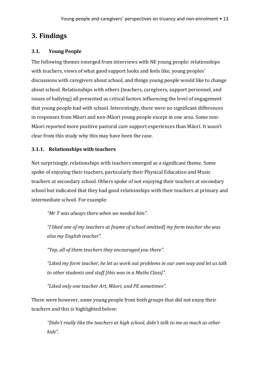## **3. Findings**

## **3.1. Young People**

The following themes emerged from interviews with NE young people: relationships with teachers, views of what good support looks and feels like, young peoples' discussions with caregivers about school, and things young people would like to change about school. Relationships with others (teachers, caregivers, support personnel, and issues of bullying) all presented as critical factors influencing the level of engagement that young people had with school. Interestingly, there were no significant differences in responses from Māori and non-Māori young people except in one area. Some non-Māori reported more positive pastoral care support experiences than Māori. It wasn't clear from this study why this may have been the case.

## **3.1.1. Relationships with teachers**

Not surprisingly, relationships with teachers emerged as a significant theme. Some spoke of enjoying their teachers, particularly their Physical Education and Music teachers at secondary school. Others spoke of not enjoying their teachers at secondary school but indicated that they had good relationships with their teachers at primary and intermediate school. For example:

*"Mr T was always there when we needed him".* 

*"I liked one of my teachers at [name of school omitted] my form teacher she was also my English teacher".* 

*"Yep, all of them teachers they encouraged you there".* 

*"Liked my form teacher, he let us work out problems in our own way and let us talk to other students and stuff [this was in a Maths Class]".* 

*"Liked only one teacher Art, Māori, and PE sometimes".* 

There were however, some young people from both groups that did not enjoy their teachers and this is highlighted below:

*"Didn't really like the teachers at high school, didn't talk to me as much as other kids".*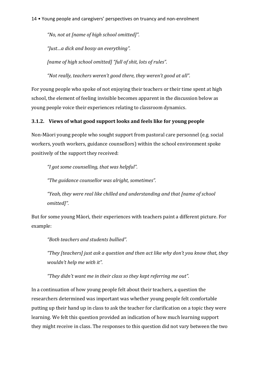*"No, not at [name of high school omitted]".* 

*"Just…a dick and bossy an everything".* 

*[name of high school omitted] "full of shit, lots of rules".* 

*"Not really, teachers weren't good there, they weren't good at all".* 

For young people who spoke of not enjoying their teachers or their time spent at high school, the element of feeling invisible becomes apparent in the discussion below as young people voice their experiences relating to classroom dynamics.

#### **3.1.2. Views of what good support looks and feels like for young people**

Non-Māori young people who sought support from pastoral care personnel (e.g. social workers, youth workers, guidance counsellors) within the school environment spoke positively of the support they received:

*"I got some counselling, that was helpful".* 

*"The guidance counsellor was alright, sometimes".* 

*"Yeah, they were real like chilled and understanding and that [name of school omitted]".* 

But for some young Māori, their experiences with teachers paint a different picture. For example:

*"Both teachers and students bullied".* 

*"They [teachers] just ask a question and then act like why don't you know that, they wouldn't help me with it".* 

*"They didn't want me in their class so they kept referring me out".* 

In a continuation of how young people felt about their teachers, a question the researchers determined was important was whether young people felt comfortable putting up their hand up in class to ask the teacher for clarification on a topic they were learning. We felt this question provided an indication of how much learning support they might receive in class. The responses to this question did not vary between the two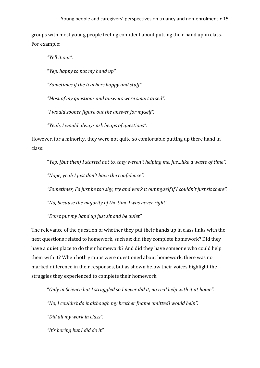groups with most young people feeling confident about putting their hand up in class. For example:

*"Yell it out".* "*Yep, happy to put my hand up". "Sometimes if the teachers happy and stuff". "Most of my questions and answers were smart arsed". "I would sooner figure out the answer for myself". "Yeah, I would always ask heaps of questions".* 

However, for a minority, they were not quite so comfortable putting up there hand in class:

"*Yep, [but then] I started not to, they weren't helping me, jus…like a waste of time".*

*"Nope, yeah I just don't have the confidence".*

*"Sometimes, I'd just be too shy, try and work it out myself if I couldn't just sit there".*

*"No, because the majority of the time I was never right".*

*"Don't put my hand up just sit and be quiet".*

The relevance of the question of whether they put their hands up in class links with the next questions related to homework, such as: did they complete homework? Did they have a quiet place to do their homework? And did they have someone who could help them with it? When both groups were questioned about homework, there was no marked difference in their responses, but as shown below their voices highlight the struggles they experienced to complete their homework:

"*Only in Science but I struggled so I never did it, no real help with it at home".*

*"No, I couldn't do it although my brother [name omitted] would help".*

*"Did all my work in class".*

*"It's boring but I did do it".*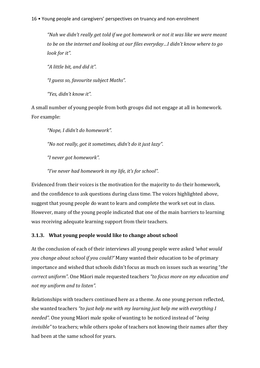*"Nah we didn't really get told if we got homework or not it was like we were meant to be on the internet and looking at our files everyday…I didn't know where to go look for it".*

*"A little bit, and did it".*

*"I guess so, favourite subject Maths".*

*"Yes, didn't know it".*

A small number of young people from both groups did not engage at all in homework. For example:

*"Nope, I didn't do homework".*

*"No not really, got it sometimes, didn't do it just lazy".*

*"I never got homework".*

*"I've never had homework in my life, it's for school".*

Evidenced from their voices is the motivation for the majority to do their homework, and the confidence to ask questions during class time. The voices highlighted above, suggest that young people do want to learn and complete the work set out in class. However, many of the young people indicated that one of the main barriers to learning was receiving adequate learning support from their teachers.

## **3.1.3. What young people would like to change about school**

At the conclusion of each of their interviews all young people were asked *'what would you change about school if you could?'* Many wanted their education to be of primary importance and wished that schools didn't focus as much on issues such as wearing "*the correct uniform"*. One Māori male requested teachers *"to focus more on my education and not my uniform and to listen".* 

Relationships with teachers continued here as a theme. As one young person reflected, she wanted teachers *"to just help me with my learning just help me with everything I needed".* One young Māori male spoke of wanting to be noticed instead of "*being invisible"* to teachers; while others spoke of teachers not knowing their names after they had been at the same school for years.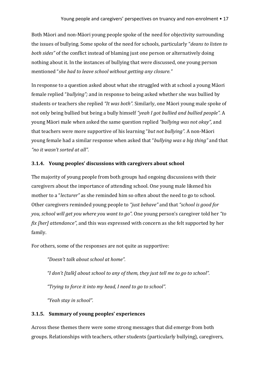Both Māori and non-Māori young people spoke of the need for objectivity surrounding the issues of bullying. Some spoke of the need for schools, particularly "*deans to listen to both sides"* of the conflict instead of blaming just one person or alternatively doing nothing about it. In the instances of bullying that were discussed, one young person mentioned "*she had to leave school without getting any closure."*

In response to a question asked about what she struggled with at school a young Māori female replied "*bullying";* and in response to being asked whether she was bullied by students or teachers she replied *"It was both".* Similarly, one Māori young male spoke of not only being bullied but being a bully himself *"yeah I got bullied and bullied people".* A young Māori male when asked the same question replied *"bullying was not okay",* and that teachers were more supportive of his learning "*but not bullying".* A non-Māori young female had a similar response when asked that "*bullying was a big thing"* and that *"no it wasn't sorted at all".*

## **3.1.4. Young peoples' discussions with caregivers about school**

The majority of young people from both groups had ongoing discussions with their caregivers about the importance of attending school. One young male likened his mother to a "*lecturer"* as she reminded him so often about the need to go to school. Other caregivers reminded young people to *"just behave"* and that *"school is good for you, school will get you where you want to go".* One young person's caregiver told her *"to fix [her] attendance",* and this was expressed with concern as she felt supported by her family.

For others, some of the responses are not quite as supportive:

*"Doesn't talk about school at home".*

*"I don't [talk] about school to any of them, they just tell me to go to school".*

*"Trying to force it into my head, I need to go to school".*

*"Yeah stay in school".*

## **3.1.5. Summary of young peoples' experiences**

Across these themes there were some strong messages that did emerge from both groups. Relationships with teachers, other students (particularly bullying), caregivers,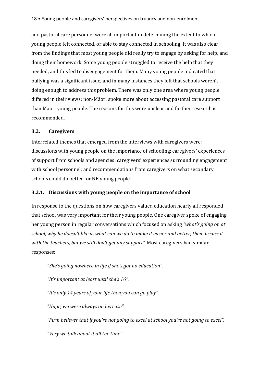and pastoral care personnel were all important in determining the extent to which young people felt connected, or able to stay connected in schooling. It was also clear from the findings that most young people did really try to engage by asking for help, and doing their homework. Some young people struggled to receive the help that they needed, and this led to disengagement for them. Many young people indicated that bullying was a significant issue, and in many instances they felt that schools weren't doing enough to address this problem. There was only one area where young people differed in their views: non-Māori spoke more about accessing pastoral care support than Māori young people. The reasons for this were unclear and further research is recommended.

## **3.2. Caregivers**

Interrelated themes that emerged from the interviews with caregivers were: discussions with young people on the importance of schooling; caregivers' experiences of support from schools and agencies; caregivers' experiences surrounding engagement with school personnel; and recommendations from caregivers on what secondary schools could do better for NE young people.

## **3.2.1. Discussions with young people on the importance of school**

In response to the questions on how caregivers valued education nearly all responded that school was very important for their young people. One caregiver spoke of engaging her young person in regular conversations which focused on asking *"what's going on at school, why he doesn't like it, what can we do to make it easier and better, then discuss it with the teachers, but we still don't get any support".* Most caregivers had similar responses:

*"She's going nowhere in life if she's got no education".*

*"It's important at least until she's 16".*

*"It's only 14 years of your life then you can go play".*

*"Huge, we were always on his case".* 

*"Firm believer that if you're not going to excel at school you're not going to excel".* 

*"Very we talk about it all the time".*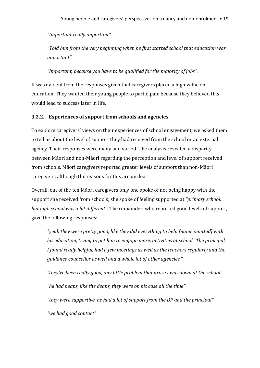*"Important really important".*

*"Told him from the very beginning when he first started school that education was important".* 

*"Important, because you have to be qualified for the majority of jobs".*

It was evident from the responses given that caregivers placed a high value on education. They wanted their young people to participate because they believed this would lead to success later in life.

## **3.2.2. Experiences of support from schools and agencies**

To explore caregivers' views on their experiences of school engagement, we asked them to tell us about the level of support they had received from the school or an external agency. Their responses were many and varied. The analysis revealed a disparity between Māori and non-Māori regarding the perception and level of support received from schools. Māori caregivers reported greater levels of support than non-Māori caregivers; although the reasons for this are unclear.

Overall, out of the ten Māori caregivers only one spoke of not being happy with the support she received from schools; she spoke of feeling supported at *"primary school, but high school was a bit different".* The remainder, who reported good levels of support, gave the following responses:

*"yeah they were pretty good, like they did everything to help [name omitted] with his education, trying to get him to engage more, activities at school...The principal, I found really helpful, had a few meetings as well as the teachers regularly and the guidance counsellor as well and a whole lot of other agencies."* 

*"they've been really good, any little problem that arose I was down at the school" "he had heaps, like the deans, they were on his case all the time"* 

*"they were supportive, he had a lot of support from the DP and the principal"* 

*"we had good contact"*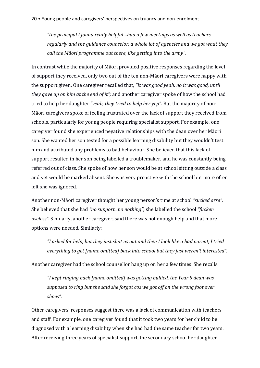*"the principal I found really helpful…had a few meetings as well as teachers regularly and the guidance counselor, a whole lot of agencies and we got what they call the Māori programme out there, like getting into the army".* 

In contrast while the majority of Māori provided positive responses regarding the level of support they received, only two out of the ten non-Māori caregivers were happy with the support given. One caregiver recalled that, *"It was good yeah, no it was good, until they gave up on him at the end of it";* and another caregiver spoke of how the school had tried to help her daughter *"yeah, they tried to help her yep".* But the majority of non-Māori caregivers spoke of feeling frustrated over the lack of support they received from schools, particularly for young people requiring specialist support. For example, one caregiver found she experienced negative relationships with the dean over her Māori son. She wanted her son tested for a possible learning disability but they wouldn't test him and attributed any problems to bad behaviour. She believed that this lack of support resulted in her son being labelled a troublemaker, and he was constantly being referred out of class. She spoke of how her son would be at school sitting outside a class and yet would be marked absent. She was very proactive with the school but more often felt she was ignored.

Another non-Māori caregiver thought her young person's time at school *"sucked arse". S*he believed that she had *"no support...no nothing"*; she labelled the school *"fucken useless".* Similarly, another caregiver, said there was not enough help and that more options were needed. Similarly:

*"I asked for help, but they just shut us out and then I look like a bad parent, I tried everything to get [name omitted] back into school but they just weren't interested".*  Another caregiver had the school counsellor hang up on her a few times. She recalls:

*"I kept ringing back [name omitted] was getting bullied, the Year 9 dean was supposed to ring but she said she forgot cos we got off on the wrong foot over shoes".* 

Other caregivers' responses suggest there was a lack of communication with teachers and staff. For example, one caregiver found that it took two years for her child to be diagnosed with a learning disability when she had had the same teacher for two years. After receiving three years of specialist support, the secondary school her daughter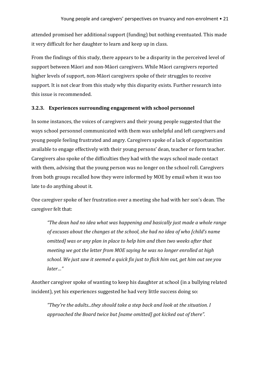attended promised her additional support (funding) but nothing eventuated. This made it very difficult for her daughter to learn and keep up in class.

From the findings of this study, there appears to be a disparity in the perceived level of support between Māori and non-Māori caregivers. While Māori caregivers reported higher levels of support, non-Māori caregivers spoke of their struggles to receive support. It is not clear from this study why this disparity exists. Further research into this issue is recommended.

## **3.2.3. Experiences surrounding engagement with school personnel**

In some instances, the voices of caregivers and their young people suggested that the ways school personnel communicated with them was unhelpful and left caregivers and young people feeling frustrated and angry. Caregivers spoke of a lack of opportunities available to engage effectively with their young persons' dean, teacher or form teacher. Caregivers also spoke of the difficulties they had with the ways school made contact with them, advising that the young person was no longer on the school roll. Caregivers from both groups recalled how they were informed by MOE by email when it was too late to do anything about it.

One caregiver spoke of her frustration over a meeting she had with her son's dean. The caregiver felt that:

*"The dean had no idea what was happening and basically just made a whole range of excuses about the changes at the school, she had no idea of who [child's name omitted] was or any plan in place to help him and then two weeks after that meeting we got the letter from MOE saying he was no longer enrolled at high school. We just saw it seemed a quick fix just to flick him out, get him out see you later…"* 

Another caregiver spoke of wanting to keep his daughter at school (in a bullying related incident), yet his experiences suggested he had very little success doing so:

*"They're the adults...they should take a step back and look at the situation. I approached the Board twice but [name omitted] got kicked out of there".*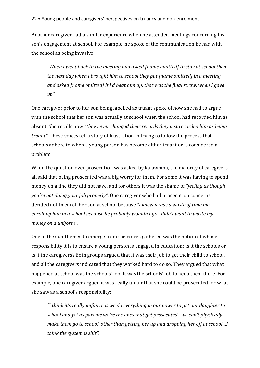Another caregiver had a similar experience when he attended meetings concerning his son's engagement at school. For example, he spoke of the communication he had with the school as being invasive:

*"When I went back to the meeting and asked [name omitted] to stay at school then the next day when I brought him to school they put [name omitted] in a meeting and asked [name omitted] if I'd beat him up, that was the final straw, when I gave up".* 

One caregiver prior to her son being labelled as truant spoke of how she had to argue with the school that her son was actually at school when the school had recorded him as absent. She recalls how "*they never changed their records they just recorded him as being truant".* These voices tell a story of frustration in trying to follow the process that schools adhere to when a young person has become either truant or is considered a problem.

When the question over prosecution was asked by kaiāwhina, the majority of caregivers all said that being prosecuted was a big worry for them. For some it was having to spend money on a fine they did not have, and for others it was the shame of *"feeling as though you're not doing your job properly".* One caregiver who had prosecution concerns decided not to enroll her son at school because *"I knew it was a waste of time me enrolling him in a school because he probably wouldn't go…didn't want to waste my money on a uniform".*

One of the sub-themes to emerge from the voices gathered was the notion of whose responsibility it is to ensure a young person is engaged in education: Is it the schools or is it the caregivers? Both groups argued that it was their job to get their child to school, and all the caregivers indicated that they worked hard to do so. They argued that what happened at school was the schools' job. It was the schools' job to keep them there. For example, one caregiver argued it was really unfair that she could be prosecuted for what she saw as a school's responsibility:

*"I think it's really unfair, cos we do everything in our power to get our daughter to school and yet as parents we're the ones that get prosecuted…we can't physically make them go to school, other than getting her up and dropping her off at school…I think the system is shit".*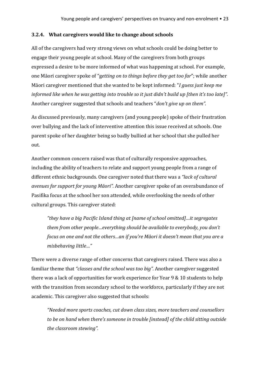#### **3.2.4. What caregivers would like to change about schools**

All of the caregivers had very strong views on what schools could be doing better to engage their young people at school. Many of the caregivers from both groups expressed a desire to be more informed of what was happening at school. For example, one Māori caregiver spoke of "g*etting on to things before they get too far*"; while another Māori caregiver mentioned that she wanted to be kept informed: "*I guess just keep me informed like when he was getting into trouble so it just didn't build up [then it's too late]".*  Another caregiver suggested that schools and teachers "*don't give up on them".*

As discussed previously, many caregivers (and young people) spoke of their frustration over bullying and the lack of interventive attention this issue received at schools. One parent spoke of her daughter being so badly bullied at her school that she pulled her out.

Another common concern raised was that of culturally responsive approaches, including the ability of teachers to relate and support young people from a range of different ethnic backgrounds. One caregiver noted that there was a *"lack of cultural avenues for support for young Māori".* Another caregiver spoke of an overabundance of Pasifika focus at the school her son attended, while overlooking the needs of other cultural groups. This caregiver stated:

*"they have a big Pacific Island thing at [name of school omitted]…it segregates them from other people…everything should be available to everybody, you don't focus on one and not the others…an if you're Māori it doesn't mean that you are a misbehaving little…"* 

There were a diverse range of other concerns that caregivers raised. There was also a familiar theme that *"classes and the school was too big".* Another caregiver suggested there was a lack of opportunities for work experience for Year 9 & 10 students to help with the transition from secondary school to the workforce, particularly if they are not academic. This caregiver also suggested that schools:

*"Needed more sports coaches, cut down class sizes, more teachers and counsellors to be on hand when there's someone in trouble [instead] of the child sitting outside the classroom stewing".*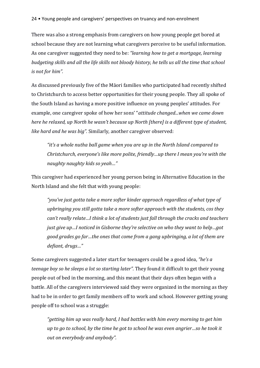24 • Young people and caregivers' perspectives on truancy and non-enrolment

There was also a strong emphasis from caregivers on how young people get bored at school because they are not learning what caregivers perceive to be useful information. As one caregiver suggested they need to be: *"learning how to get a mortgage, learning budgeting skills and all the life skills not bloody history, he tells us all the time that school is not for him".* 

As discussed previously five of the Māori families who participated had recently shifted to Christchurch to access better opportunities for their young people. They all spoke of the South Island as having a more positive influence on young peoples' attitudes. For example, one caregiver spoke of how her sons' "*attitude changed...when we came down here he relaxed, up North he wasn't because up North [there] is a different type of student, like hard and he was big".* Similarly, another caregiver observed:

*"it's a whole nutha ball game when you are up in the North Island compared to Christchurch, everyone's like more polite, friendly…up there I mean you're with the naughty naughty kids so yeah…"* 

This caregiver had experienced her young person being in Alternative Education in the North Island and she felt that with young people:

*"you've just gotta take a more softer kinder approach regardless of what type of upbringing you still gotta take a more softer approach with the students, cos they can't really relate…I think a lot of students just fall through the cracks and teachers just give up…I noticed in Gisborne they're selective on who they want to help…got good grades go far…the ones that come from a gang upbringing, a lot of them are defiant, drugs…"* 

Some caregivers suggested a later start for teenagers could be a good idea, *"he's a teenage boy so he sleeps a lot so starting later".* They found it difficult to get their young people out of bed in the morning, and this meant that their days often began with a battle. All of the caregivers interviewed said they were organized in the morning as they had to be in order to get family members off to work and school. However getting young people off to school was a struggle:

*"getting him up was really hard, I had battles with him every morning to get him up to go to school, by the time he got to school he was even angrier…so he took it out on everybody and anybody".*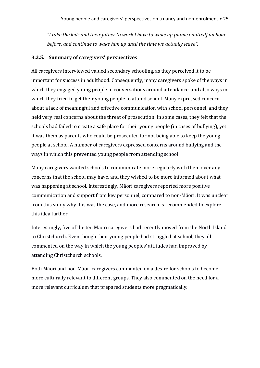*"I take the kids and their father to work I have to wake up [name omitted] an hour before, and continue to wake him up until the time we actually leave".* 

#### **3.2.5. Summary of caregivers' perspectives**

All caregivers interviewed valued secondary schooling, as they perceived it to be important for success in adulthood. Consequently, many caregivers spoke of the ways in which they engaged young people in conversations around attendance, and also ways in which they tried to get their young people to attend school. Many expressed concern about a lack of meaningful and effective communication with school personnel, and they held very real concerns about the threat of prosecution. In some cases, they felt that the schools had failed to create a safe place for their young people (in cases of bullying), yet it was them as parents who could be prosecuted for not being able to keep the young people at school. A number of caregivers expressed concerns around bullying and the ways in which this prevented young people from attending school.

Many caregivers wanted schools to communicate more regularly with them over any concerns that the school may have, and they wished to be more informed about what was happening at school. Interestingly, Māori caregivers reported more positive communication and support from key personnel, compared to non-Māori. It was unclear from this study why this was the case, and more research is recommended to explore this idea further.

Interestingly, five of the ten Māori caregivers had recently moved from the North Island to Christchurch. Even though their young people had struggled at school, they all commented on the way in which the young peoples' attitudes had improved by attending Christchurch schools.

Both Māori and non-Māori caregivers commented on a desire for schools to become more culturally relevant to different groups. They also commented on the need for a more relevant curriculum that prepared students more pragmatically.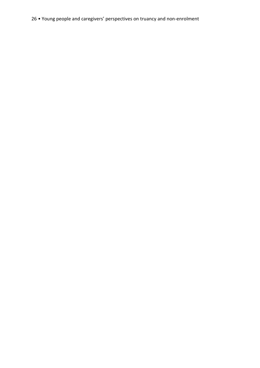26 • Young people and caregivers' perspectives on truancy and non-enrolment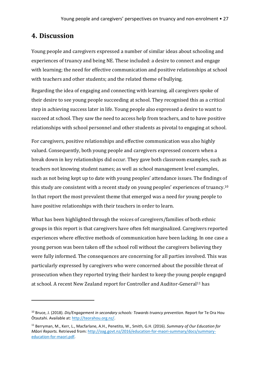## **4. Discussion**

 $\overline{a}$ 

Young people and caregivers expressed a number of similar ideas about schooling and experiences of truancy and being NE. These included: a desire to connect and engage with learning; the need for effective communication and positive relationships at school with teachers and other students; and the related theme of bullying.

Regarding the idea of engaging and connecting with learning, all caregivers spoke of their desire to see young people succeeding at school. They recognised this as a critical step in achieving success later in life. Young people also expressed a desire to want to succeed at school. They saw the need to access help from teachers, and to have positive relationships with school personnel and other students as pivotal to engaging at school.

For caregivers, positive relationships and effective communication was also highly valued. Consequently, both young people and caregivers expressed concern when a break down in key relationships did occur. They gave both classroom examples, such as teachers not knowing student names; as well as school management level examples, such as not being kept up to date with young peoples' attendance issues. The findings of this study are consistent with a recent study on young peoples' experiences of truancy.<sup>10</sup> In that report the most prevalent theme that emerged was a need for young people to have positive relationships with their teachers in order to learn.

What has been highlighted through the voices of caregivers/families of both ethnic groups in this report is that caregivers have often felt marginalized. Caregivers reported experiences where effective methods of communication have been lacking. In one case a young person was been taken off the school roll without the caregivers believing they were fully informed. The consequences are concerning for all parties involved. This was particularly expressed by caregivers who were concerned about the possible threat of prosecution when they reported trying their hardest to keep the young people engaged at school. A recent New Zealand report for Controller and Auditor-General<sup>11</sup> has

<sup>10</sup> Bruce, J. (2018). *Dis/Engagement in secondary schools: Towards truancy prevention*. Report for Te Ora Hou Ōtautahi. Available at: http://teorahou.org.nz/.

<sup>11</sup> Berryman, M., Kerr, L., Macfarlane, A.H., Penetito, W., Smith, G.H. (2016). *Summary of Our Education for Māori Reports.* Retrieved from: http://oag.govt.nz/2016/education-for-maori-summary/docs/summaryeducation-for-maori.pdf.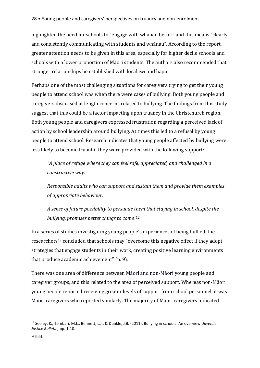highlighted the need for schools to "engage with whānau better" and this means "clearly and consistently communicating with students and whānau". According to the report, greater attention needs to be given in this area, especially for higher decile schools and schools with a lower proportion of Māori students. The authors also recommended that stronger relationships be established with local iwi and hapu.

Perhaps one of the most challenging situations for caregivers trying to get their young people to attend school was when there were cases of bullying. Both young people and caregivers discussed at length concerns related to bullying. The findings from this study suggest that this could be a factor impacting upon truancy in the Christchurch region. Both young people and caregivers expressed frustration regarding a perceived lack of action by school leadership around bullying. At times this led to a refusal by young people to attend school. Research indicates that young people affected by bullying were less likely to become truant if they were provided with the following support:

*"A place of refuge where they can feel safe, appreciated, and challenged in a constructive way.* 

*Responsible adults who can support and sustain them and provide them examples of appropriate behaviour.* 

*A sense of future possibility to persuade them that staying in school, despite the bullying, promises better things to come"*<sup>12</sup>

In a series of studies investigating young people's experiences of being bullied, the researchers13 concluded that schools may "overcome this negative effect if they adopt strategies that engage students in their work, creating positive learning environments that produce academic achievement" (p. 9).

There was one area of difference between Māori and non-Māori young people and caregiver groups, and this related to the area of perceived support. Whereas non-Māori young people reported receiving greater levels of support from school personnel, it was Māori caregivers who reported similarly. The majority of Māori caregivers indicated

 $\overline{a}$ 

<sup>12</sup> Seeley, K., Tombari, M.L., Bennett, L.J., & Dunkle, J.B. (2011). Bullying in schools: An overview. *Juvenile Justice Bulletin,* pp. 1-10.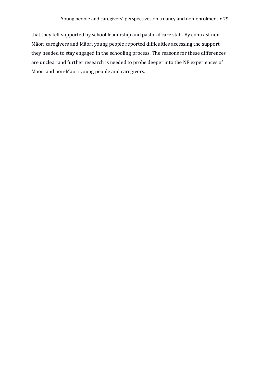that they felt supported by school leadership and pastoral care staff. By contrast non-Māori caregivers and Māori young people reported difficulties accessing the support they needed to stay engaged in the schooling process. The reasons for these differences are unclear and further research is needed to probe deeper into the NE experiences of Māori and non-Māori young people and caregivers.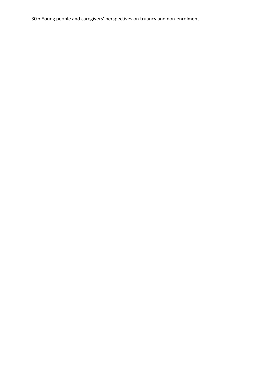30 • Young people and caregivers' perspectives on truancy and non-enrolment